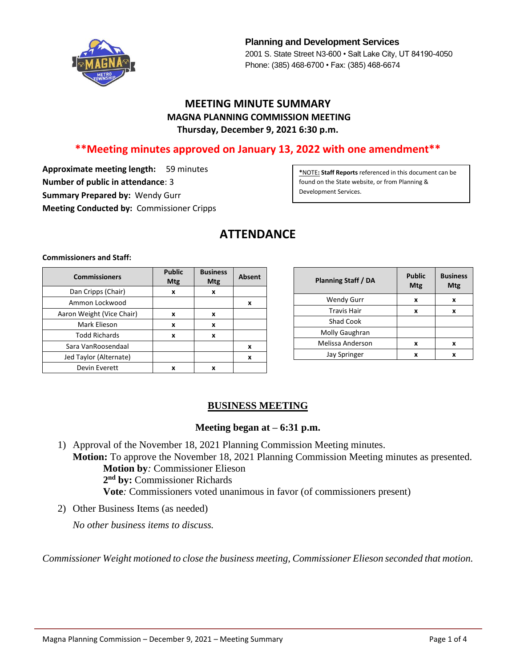

**Planning and Development Services** 2001 S. State Street N3-600 • Salt Lake City, UT 84190-4050 Phone: (385) 468-6700 • Fax: (385) 468-6674

# **MEETING MINUTE SUMMARY MAGNA PLANNING COMMISSION MEETING Thursday, December 9, 2021 6:30 p.m.**

# **\*\*Meeting minutes approved on January 13, 2022 with one amendment\*\***

**Approximate meeting length:** 59 minutes **Number of public in attendance**: 3 **Summary Prepared by:** Wendy Gurr **Meeting Conducted by:** Commissioner Cripps

**\***NOTE**: Staff Reports** referenced in this document can be found on the State website, or from Planning & Development Services.

# **ATTENDANCE**

**Commissioners and Staff:**

| <b>Commissioners</b>      | <b>Public</b><br>Mtg | <b>Business</b><br><b>Mtg</b> | <b>Absent</b> |
|---------------------------|----------------------|-------------------------------|---------------|
| Dan Cripps (Chair)        | x                    | x                             |               |
| Ammon Lockwood            |                      |                               | x             |
| Aaron Weight (Vice Chair) | x                    | x                             |               |
| Mark Elieson              | x                    | x                             |               |
| <b>Todd Richards</b>      | X                    | x                             |               |
| Sara VanRoosendaal        |                      |                               | x             |
| Jed Taylor (Alternate)    |                      |                               | x             |
| Devin Everett             | x                    | x                             |               |

| <b>Planning Staff / DA</b> | <b>Public</b><br>Mtg | <b>Business</b><br>Mtg |
|----------------------------|----------------------|------------------------|
| <b>Wendy Gurr</b>          | x                    | x                      |
| <b>Travis Hair</b>         | x                    | x                      |
| <b>Shad Cook</b>           |                      |                        |
| Molly Gaughran             |                      |                        |
| Melissa Anderson           | x                    | x                      |
| <b>Jay Springer</b>        | x                    | x                      |

# **BUSINESS MEETING**

## **Meeting began at – 6:31 p.m.**

- 1) Approval of the November 18, 2021 Planning Commission Meeting minutes. **Motion:** To approve the November 18, 2021 Planning Commission Meeting minutes as presented. **Motion by***:* Commissioner Elieson **2 nd by:** Commissioner Richards
	- **Vote***:* Commissioners voted unanimous in favor (of commissioners present)
- 2) Other Business Items (as needed)

*No other business items to discuss.*

*Commissioner Weight motioned to close the business meeting, Commissioner Elieson seconded that motion.*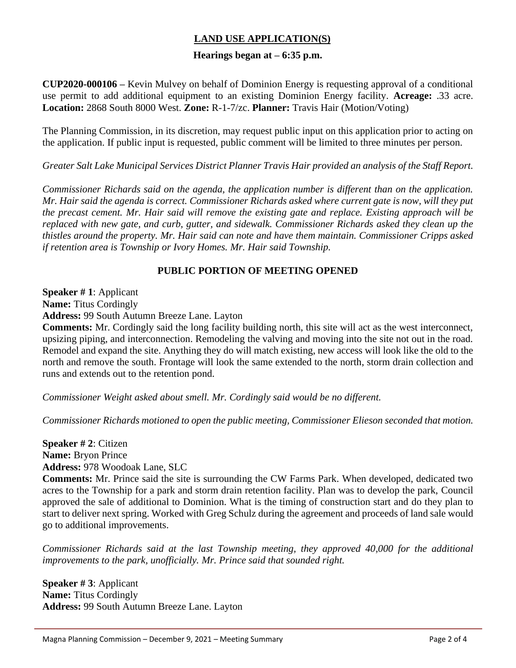# **LAND USE APPLICATION(S)**

#### **Hearings began at – 6:35 p.m.**

**CUP2020-000106 –** Kevin Mulvey on behalf of Dominion Energy is requesting approval of a conditional use permit to add additional equipment to an existing Dominion Energy facility. **Acreage:** .33 acre. **Location:** 2868 South 8000 West. **Zone:** R-1-7/zc. **Planner:** Travis Hair (Motion/Voting)

The Planning Commission, in its discretion, may request public input on this application prior to acting on the application. If public input is requested, public comment will be limited to three minutes per person.

*Greater Salt Lake Municipal Services District Planner Travis Hair provided an analysis of the Staff Report.*

*Commissioner Richards said on the agenda, the application number is different than on the application. Mr. Hair said the agenda is correct. Commissioner Richards asked where current gate is now, will they put the precast cement. Mr. Hair said will remove the existing gate and replace. Existing approach will be replaced with new gate, and curb, gutter, and sidewalk. Commissioner Richards asked they clean up the thistles around the property. Mr. Hair said can note and have them maintain. Commissioner Cripps asked if retention area is Township or Ivory Homes. Mr. Hair said Township.*

#### **PUBLIC PORTION OF MEETING OPENED**

**Speaker # 1**: Applicant **Name:** Titus Cordingly **Address:** 99 South Autumn Breeze Lane. Layton

**Comments:** Mr. Cordingly said the long facility building north, this site will act as the west interconnect, upsizing piping, and interconnection. Remodeling the valving and moving into the site not out in the road. Remodel and expand the site. Anything they do will match existing, new access will look like the old to the north and remove the south. Frontage will look the same extended to the north, storm drain collection and runs and extends out to the retention pond.

*Commissioner Weight asked about smell. Mr. Cordingly said would be no different.*

*Commissioner Richards motioned to open the public meeting, Commissioner Elieson seconded that motion.*

**Speaker # 2**: Citizen **Name:** Bryon Prince **Address:** 978 Woodoak Lane, SLC

**Comments:** Mr. Prince said the site is surrounding the CW Farms Park. When developed, dedicated two acres to the Township for a park and storm drain retention facility. Plan was to develop the park, Council approved the sale of additional to Dominion. What is the timing of construction start and do they plan to start to deliver next spring. Worked with Greg Schulz during the agreement and proceeds of land sale would go to additional improvements.

*Commissioner Richards said at the last Township meeting, they approved 40,000 for the additional improvements to the park, unofficially. Mr. Prince said that sounded right.* 

**Speaker # 3**: Applicant **Name:** Titus Cordingly **Address:** 99 South Autumn Breeze Lane. Layton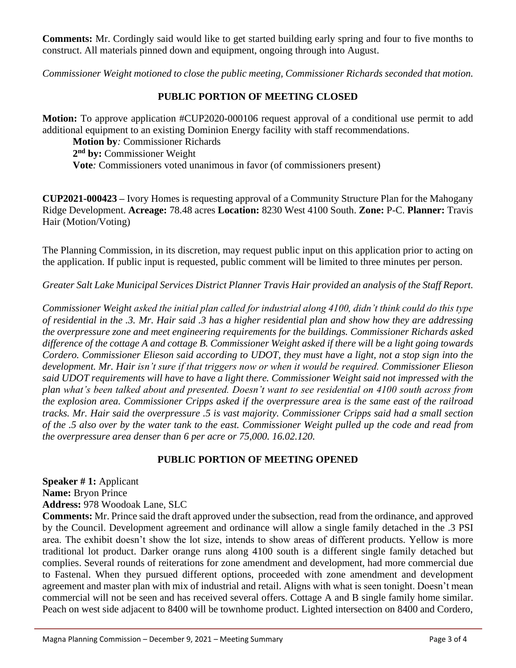**Comments:** Mr. Cordingly said would like to get started building early spring and four to five months to construct. All materials pinned down and equipment, ongoing through into August.

*Commissioner Weight motioned to close the public meeting, Commissioner Richards seconded that motion.*

### **PUBLIC PORTION OF MEETING CLOSED**

**Motion:** To approve application #CUP2020-000106 request approval of a conditional use permit to add additional equipment to an existing Dominion Energy facility with staff recommendations.

**Motion by***:* Commissioner Richards **2 nd by:** Commissioner Weight **Vote***:* Commissioners voted unanimous in favor (of commissioners present)

**CUP2021-000423 –** Ivory Homes is requesting approval of a Community Structure Plan for the Mahogany Ridge Development. **Acreage:** 78.48 acres **Location:** 8230 West 4100 South. **Zone:** P-C. **Planner:** Travis Hair (Motion/Voting)

The Planning Commission, in its discretion, may request public input on this application prior to acting on the application. If public input is requested, public comment will be limited to three minutes per person.

*Greater Salt Lake Municipal Services District Planner Travis Hair provided an analysis of the Staff Report.*

*Commissioner Weight asked the initial plan called for industrial along 4100, didn't think could do this type of residential in the .3. Mr. Hair said .3 has a higher residential plan and show how they are addressing the overpressure zone and meet engineering requirements for the buildings. Commissioner Richards asked difference of the cottage A and cottage B. Commissioner Weight asked if there will be a light going towards Cordero. Commissioner Elieson said according to UDOT, they must have a light, not a stop sign into the development. Mr. Hair isn't sure if that triggers now or when it would be required. Commissioner Elieson said UDOT requirements will have to have a light there. Commissioner Weight said not impressed with the plan what's been talked about and presented. Doesn't want to see residential on 4100 south across from the explosion area. Commissioner Cripps asked if the overpressure area is the same east of the railroad tracks. Mr. Hair said the overpressure .5 is vast majority. Commissioner Cripps said had a small section of the .5 also over by the water tank to the east. Commissioner Weight pulled up the code and read from the overpressure area denser than 6 per acre or 75,000. 16.02.120.*

## **PUBLIC PORTION OF MEETING OPENED**

**Speaker # 1:** Applicant **Name:** Bryon Prince **Address:** 978 Woodoak Lane, SLC

**Comments:** Mr. Prince said the draft approved under the subsection, read from the ordinance, and approved by the Council. Development agreement and ordinance will allow a single family detached in the .3 PSI area. The exhibit doesn't show the lot size, intends to show areas of different products. Yellow is more traditional lot product. Darker orange runs along 4100 south is a different single family detached but complies. Several rounds of reiterations for zone amendment and development, had more commercial due to Fastenal. When they pursued different options, proceeded with zone amendment and development agreement and master plan with mix of industrial and retail. Aligns with what is seen tonight. Doesn't mean commercial will not be seen and has received several offers. Cottage A and B single family home similar. Peach on west side adjacent to 8400 will be townhome product. Lighted intersection on 8400 and Cordero,